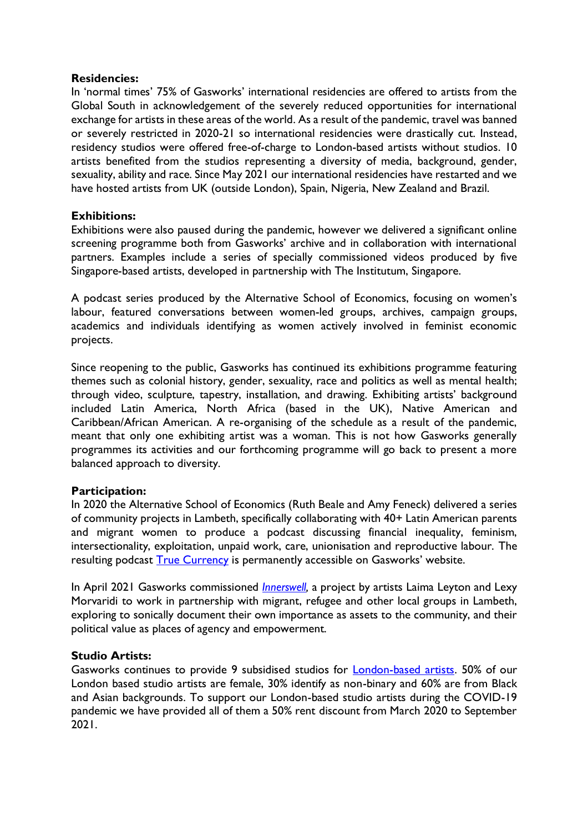#### **Residencies:**

In 'normal times' 75% of Gasworks' international residencies are offered to artists from the Global South in acknowledgement of the severely reduced opportunities for international exchange for artists in these areas of the world. As a result of the pandemic, travel was banned or severely restricted in 2020-21 so international residencies were drastically cut. Instead, residency studios were offered free-of-charge to London-based artists without studios. 10 artists benefited from the studios representing a diversity of media, background, gender, sexuality, ability and race. Since May 2021 our international residencies have restarted and we have hosted artists from UK (outside London), Spain, Nigeria, New Zealand and Brazil.

## **Exhibitions:**

Exhibitions were also paused during the pandemic, however we delivered a significant online screening programme both from Gasworks' archive and in collaboration with international partners. Examples include a series of specially commissioned videos produced by five Singapore-based artists, developed in partnership with The Institutum, Singapore.

A podcast series produced by the Alternative School of Economics, focusing on women's labour, featured conversations between women-led groups, archives, campaign groups, academics and individuals identifying as women actively involved in feminist economic projects.

Since reopening to the public, Gasworks has continued its exhibitions programme featuring themes such as colonial history, gender, sexuality, race and politics as well as mental health; through video, sculpture, tapestry, installation, and drawing. Exhibiting artists' background included Latin America, North Africa (based in the UK), Native American and Caribbean/African American. A re-organising of the schedule as a result of the pandemic, meant that only one exhibiting artist was a woman. This is not how Gasworks generally programmes its activities and our forthcoming programme will go back to present a more balanced approach to diversity.

## **Participation:**

In 2020 the Alternative School of Economics (Ruth Beale and Amy Feneck) delivered a series of community projects in Lambeth, specifically collaborating with 40+ Latin American parents and migrant women to produce a podcast discussing financial inequality, feminism, intersectionality, exploitation, unpaid work, care, unionisation and reproductive labour. The resulting podcast [True Currency](https://gasworks.org.uk/exhibitions/true-currency-about-feminist-economics-podcast-2020-07-16/) is permanently accessible on Gasworks' website.

In April 2021 Gasworks commissioned *Innerswell*, a project by artists Laima Leyton and Lexy Morvaridi to work in partnership with migrant, refugee and other local groups in Lambeth, exploring to sonically document their own importance as assets to the community, and their political value as places of agency and empowerment.

## **Studio Artists:**

Gasworks continues to provide 9 subsidised studios for [London-based artists.](https://gasworks.org.uk/studio-artists/) 50% of our London based studio artists are female, 30% identify as non-binary and 60% are from Black and Asian backgrounds. To support our London-based studio artists during the COVID-19 pandemic we have provided all of them a 50% rent discount from March 2020 to September 2021.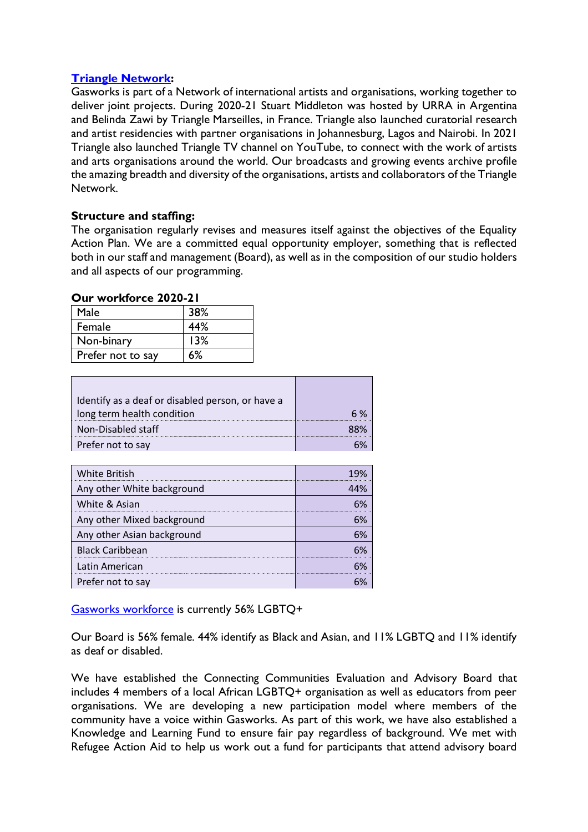## **[Triangle Network:](https://www.trianglenetwork.org/triangle-network/)**

Gasworks is part of a Network of international artists and organisations, working together to deliver joint projects. During 2020-21 Stuart Middleton was hosted by URRA in Argentina and Belinda Zawi by Triangle Marseilles, in France. Triangle also launched curatorial research and artist residencies with partner organisations in Johannesburg, Lagos and Nairobi. In 2021 Triangle also launched Triangle TV channel on YouTube, to connect with the work of artists and arts organisations around the world. Our broadcasts and growing events archive profile the amazing breadth and diversity of the organisations, artists and collaborators of the Triangle Network.

# **Structure and staffing:**

The organisation regularly revises and measures itself against the objectives of the Equality Action Plan. We are a committed equal opportunity employer, something that is reflected both in our staff and management (Board), as well as in the composition of our studio holders and all aspects of our programming.

#### **Our workforce 2020-21**

| Male              | 38% |  |
|-------------------|-----|--|
| Female            | 44% |  |
| Non-binary        | 13% |  |
| Prefer not to say | 6%  |  |

| Identify as a deaf or disabled person, or have a |  |
|--------------------------------------------------|--|
| long term health condition                       |  |
| Non-Disabled staff                               |  |
| Prefer not to say                                |  |

| <b>White British</b>       |  |
|----------------------------|--|
| Any other White background |  |
| White & Asian              |  |
| Any other Mixed background |  |
| Any other Asian background |  |
| <b>Black Caribbean</b>     |  |
| Latin American             |  |
| Prefer not to say          |  |

[Gasworks workforce](https://gasworks.org.uk/about-us/staff/) is currently 56% LGBTQ+

Our Board is 56% female. 44% identify as Black and Asian, and 11% LGBTQ and 11% identify as deaf or disabled.

We have established the Connecting Communities Evaluation and Advisory Board that includes 4 members of a local African LGBTQ+ organisation as well as educators from peer organisations. We are developing a new participation model where members of the community have a voice within Gasworks. As part of this work, we have also established a Knowledge and Learning Fund to ensure fair pay regardless of background. We met with Refugee Action Aid to help us work out a fund for participants that attend advisory board